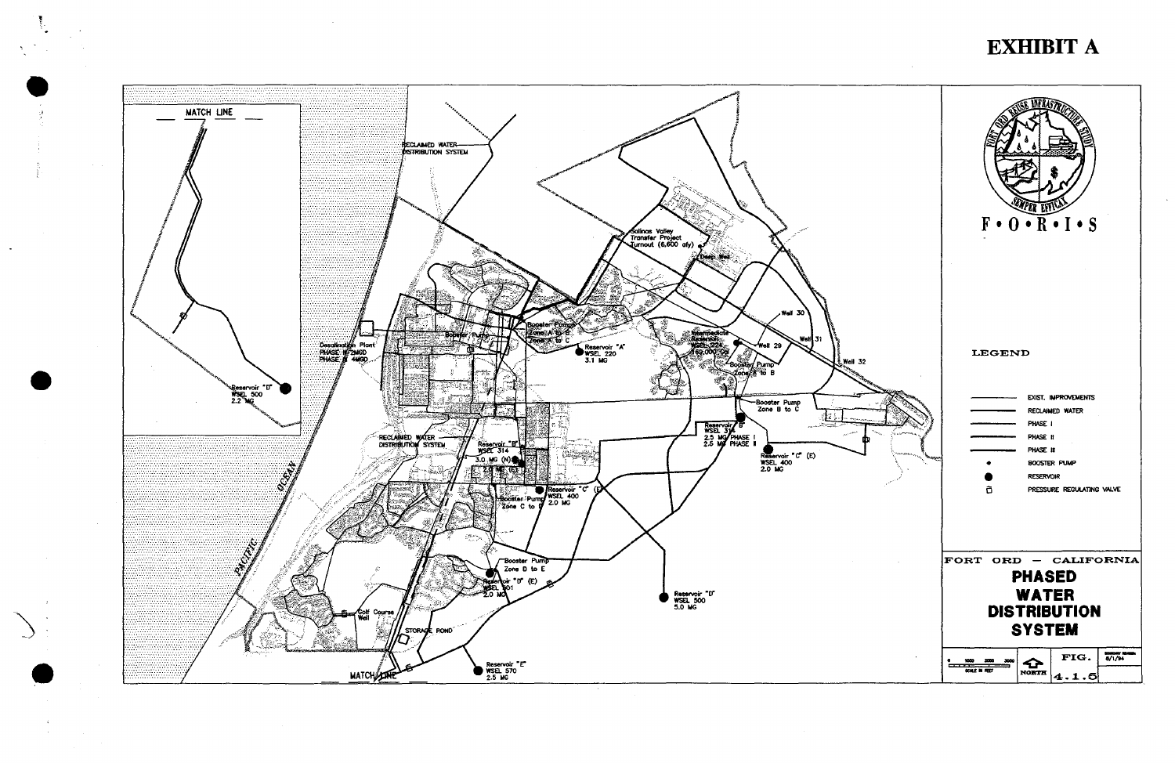

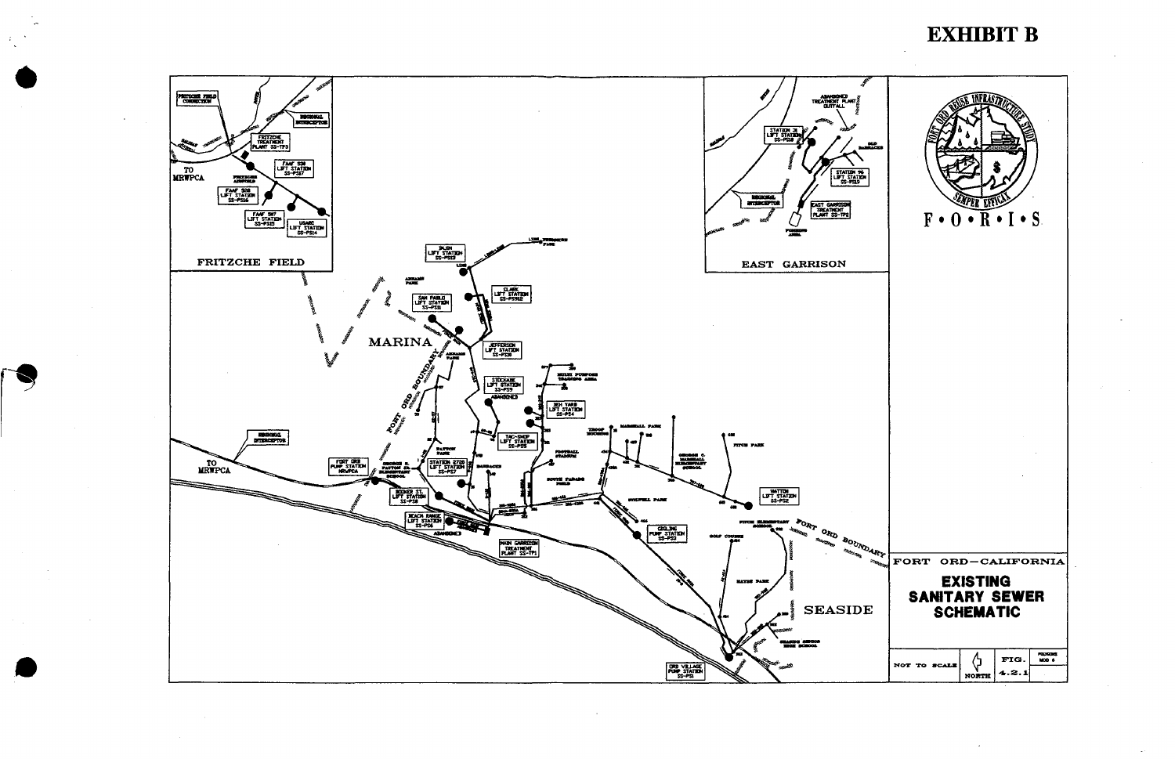

# **EXHIBIT B**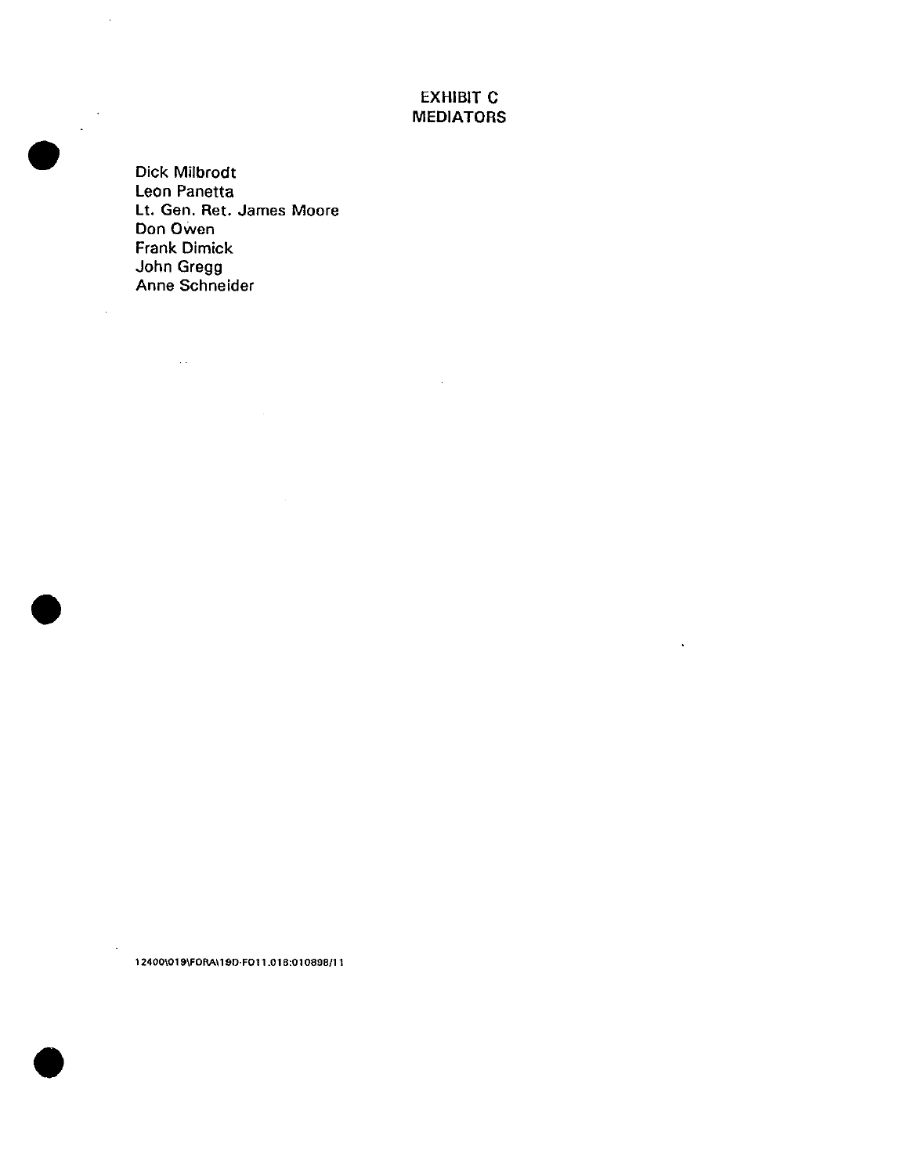### EXHIBIT C MEDIATORS

 $\hat{\mathbf{r}}$ 

Dick Milbrodt Leon Panetta Lt. Gen. Ret. James Moore Don Owen Frank Dimick John Gregg Anne Schneider

 $\sim 10$ 

 $\mathcal{L}_{\text{max}}$  and  $\mathcal{L}_{\text{max}}$  . The  $\mathcal{L}_{\text{max}}$ 

**12400\019\FORA\190-FOl 1.016:010898/11** 





•

 $\bar{\beta}$ 

 $\bar{z}$ 

•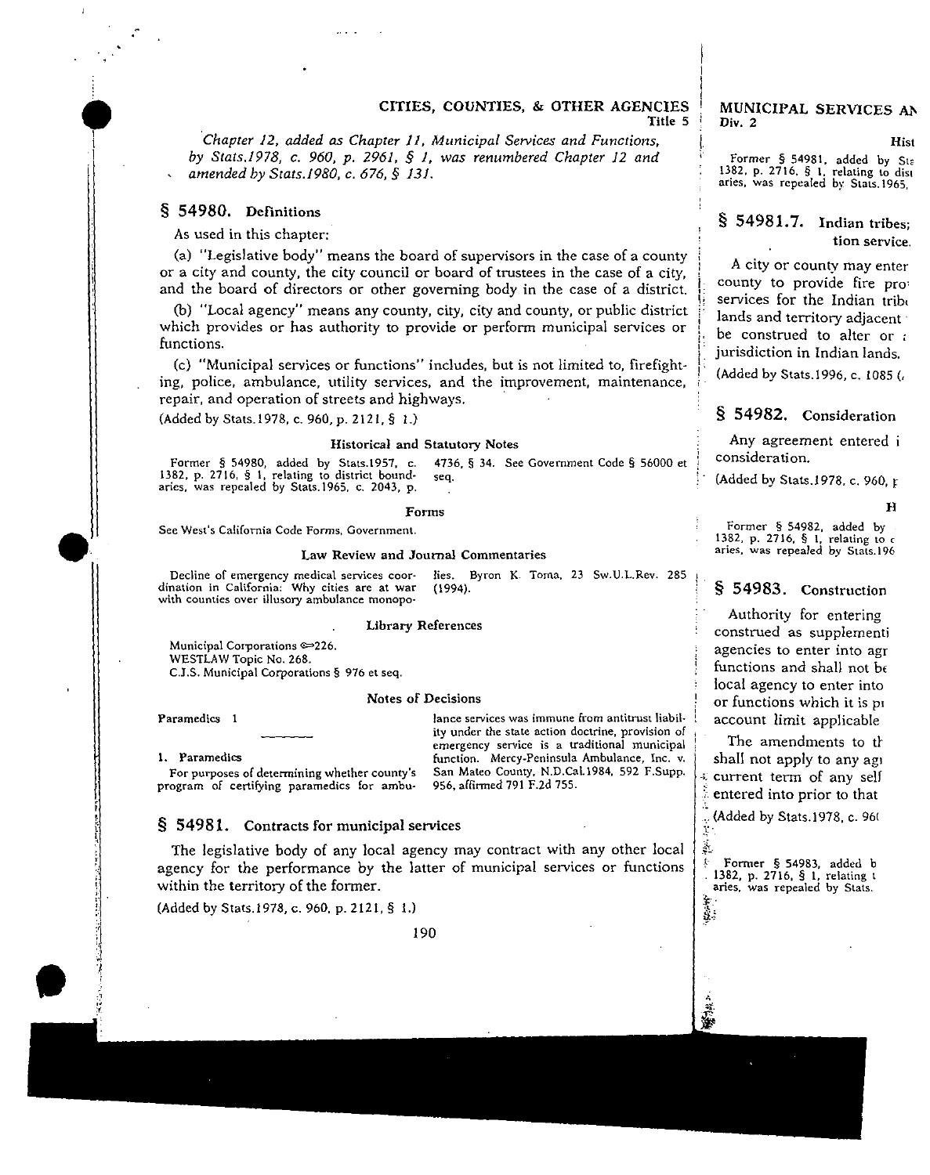#### CITIES, COUNTIES, & OTHER AGENCIES Title 5

*·chapter 12, added as Chapter ll, Municipal Services and Functions, by Stats.1978, c. 960, p. 2961,* § *1, was renumbered Chapter 12 and amended by Stats.I980, c. 676,* § *131.* 

#### § 54980. Definitions

**1** I

As used in this chapter:

(a) "Legislative body" means the board of supervisors in the case of a county or a city and county, the city council or board of trustees in the case of a city, and the board of directors or other governing body in the case of a district.

(b) "Local agency" means any county, city, city and county, or public district which provides or has authority to provide or perform municipal services or functions.

(c) "Municipal services or functions" includes, but is not limited to, firefighting, police, ambulance, utility services, and the improvement, maintenance, repair, and operation of streets and highways.

(Added by Stats.l978, c. 960, p. 2121, § 1.)

#### **Historical and Statutory Notes**

i Former § 54980, added by Stats.1957, c. 4736, § 34. See Government Code § 56000 et <sup>1</sup> consideration. **1382, p. 2716, § 1, relating to district bound- seq.** ! · **aries, was repealed by Stats.l965, c. 2043, p.** (Added by Stats.l978. c. 960, r

#### **Fonns**

**See West's California Code Forms, Government.** 

#### **Law Review and Journal Commentaries**

**Decline of emergency medical services coor**with counties over illusory ambulance monopo-**Hes. Byron K Toma, 23 Sw.U.L.Rev.** *285* **<sup>t</sup>**

#### **Library References**

**Municipal Corporations** ~226. WESTLAW Topic No. 268. **C.J.S. Municipal Corporations§ 976 et seq.** 

#### **Notes of Decisions**

**Paramedics 1** 

**lance services was immune from antitrust liabil· ity under the state action doctrine, provision of emergency service is a traditional municipal function. Mercy-Peninsula Ambulance, Inc. v. San Mateo County, N.D.Cal.l984, 592 F.Supp.**  956, affirmed 791 F.2d 755.

**1. Paramedics** 

**For purposes of determining whether county's program of certifying paramedics for ambu-**

#### § 54981. Contracts for municipal services

The legislative body of any local agency may contract with any other local agency for the performance by the latter of municipal services or functions within the territory of the former.

(Added by Stats.l978, c. 960, p. 2121, § 1.)

190

#### MUNICIPAL SERVICES Div. 2

**Hist**  Former § 54981, added by **1382, p. 2716, § 1. relating to distribution** aries, was repealed by Stats.196

### $§$  54981.7. Indian tribe **tion service**

A city or county may enter county to provide fire pr services for the Indian tri lands and territory adjacent **l be construed to alter or** *:* jurisdiction in Indian lands

I,

(Added by Stats.1996, c. 1085)

#### § 54982. **Consideration**

Any agreement entered i

#### H

**Former § 54982, added by 1382, p. 2716, § 1, relating to c aries, was repealed by Stats.196** 

### § 54983. Construction

Authority for entering construed as supplementi **agencies to enter into agr**  functions and shall not b< local agency to enter into or functions which it is p• account limit applicable

The amendments to th shall not apply to any age current term of any self entered into prior to that

(Added by Stats.1978, c. 960

 $\ddot{\phantom{a}}$ \$.·

~i

Former § 54983, added b 1382, p. 2716, § l, relating 1 **aries. was repealed by Stats.**  l: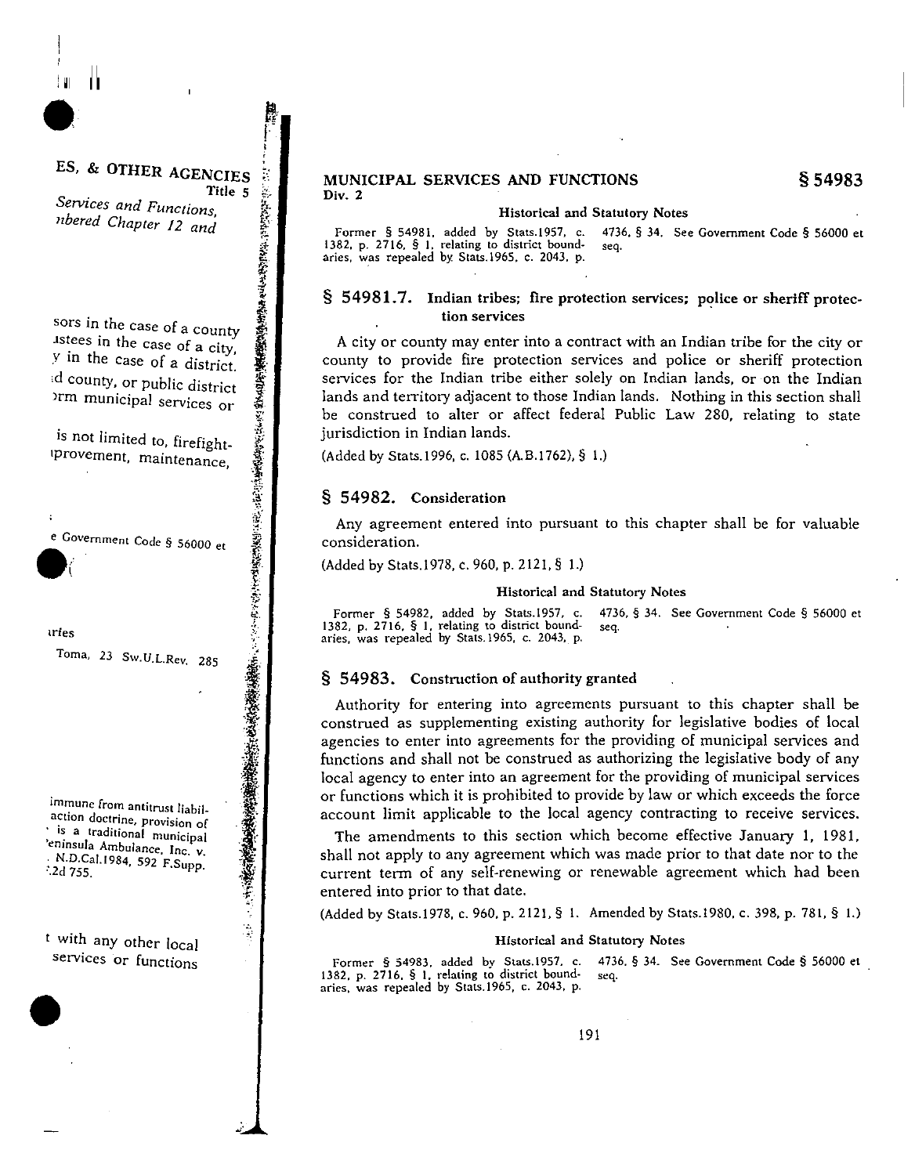### ES, & OTHER AGENCIES Title 5

Ħ

Services and Functions, nbered Chapter 12 and

いいは、いい、このことを、このことを、このことを、このことを、このことを、このことを、このことを、このことを、このことを、このことを、このことを、このことを、このことを、このことを、このことを、このこ sors in the case of a county istees in the case of a city, y in the case of a district. ad county, or public district orm municipal services or

is not limited to, firefightprovement, maintenance,

e Government Code § 56000 et

tries

 $\cdot$ 

Toma, 23 Sw.U.L.Rev. 285

immune from antitrust liabilaction doctrine, provision of ' is a traditional municipal 'eninsula Ambulance, Inc. v. N.D.Cal.1984, 592 F.Supp.  $3.2d$  755.

t with any other local services or functions #### MUNICIPAL SERVICES AND FUNCTIONS Div.  $2$

#### **Historical and Statutory Notes**

Former § 54981, added by Stats.1957, c. 4736, § 34. See Government Code § 56000 et 1382, p. 2716, § 1, relating to district boundseq. aries, was repealed by Stats.1965, c. 2043, p.

### § 54981.7. Indian tribes; fire protection services; police or sheriff protection services

A city or county may enter into a contract with an Indian tribe for the city or county to provide fire protection services and police or sheriff protection services for the Indian tribe either solely on Indian lands, or on the Indian lands and territory adjacent to those Indian lands. Nothing in this section shall be construed to alter or affect federal Public Law 280, relating to state jurisdiction in Indian lands.

(Added by Stats, 1996, c. 1085 (A.B.1762), § 1.)

### § 54982. Consideration

Any agreement entered into pursuant to this chapter shall be for valuable consideration.

(Added by Stats 1978, c. 960, p. 2121, § 1.)

#### **Historical and Statutory Notes**

Former § 54982, added by Stats.1957, c. 4736, § 34. See Government Code § 56000 et 1382, p. 2716, § 1, relating to district boundseq. aries, was repealed by Stats. 1965, c. 2043, p.

#### § 54983. Construction of authority granted

Authority for entering into agreements pursuant to this chapter shall be construed as supplementing existing authority for legislative bodies of local agencies to enter into agreements for the providing of municipal services and functions and shall not be construed as authorizing the legislative body of any local agency to enter into an agreement for the providing of municipal services or functions which it is prohibited to provide by law or which exceeds the force account limit applicable to the local agency contracting to receive services.

The amendments to this section which become effective January 1, 1981, shall not apply to any agreement which was made prior to that date nor to the current term of any self-renewing or renewable agreement which had been entered into prior to that date.

(Added by Stats.1978, c. 960, p. 2121, § 1. Amended by Stats.1980, c. 398, p. 781, § 1.)

#### Historical and Statutory Notes

Former § 54983, added by Stats.1957, c. 4736, § 34. See Government Code § 56000 et 1382, p. 2716, § 1, relating to district boundaries, was repealed by Stats.1965, c. 2043, p. seq.

§ 54983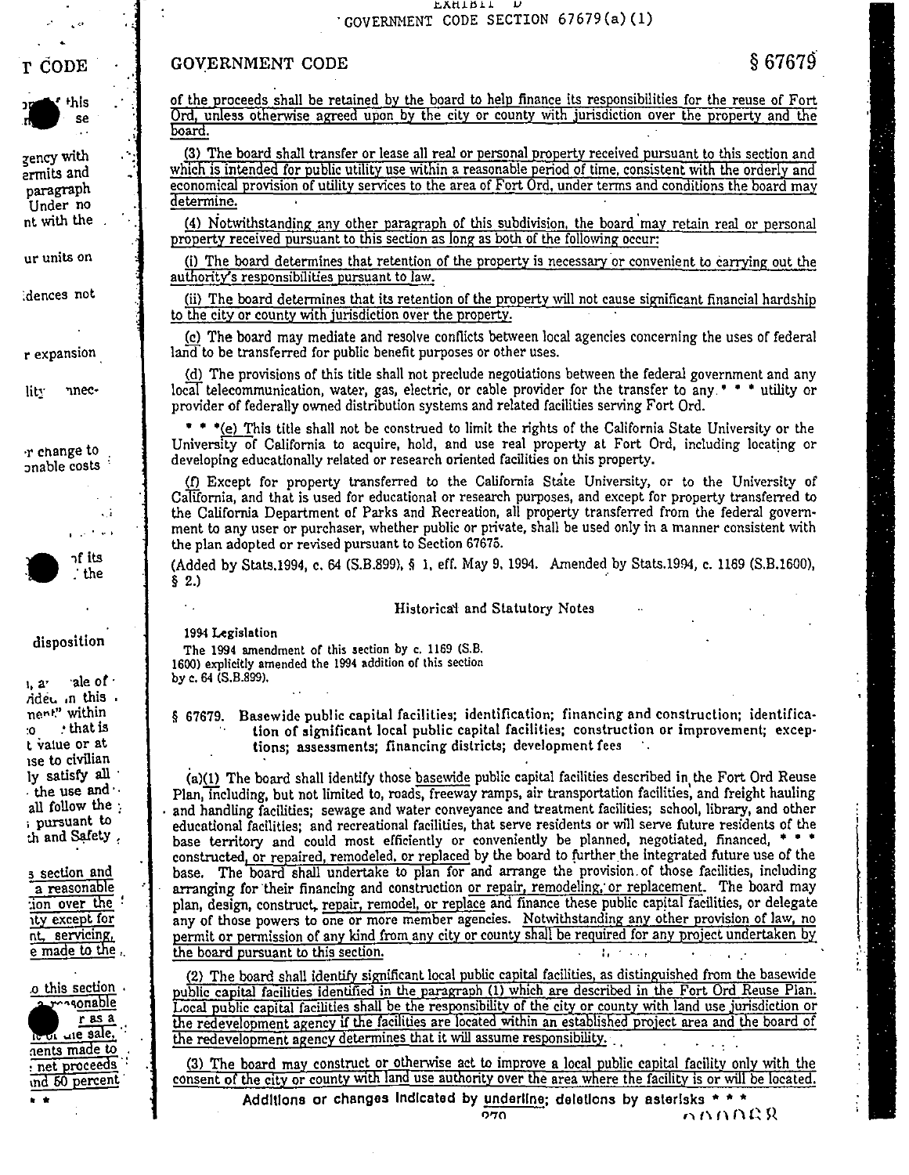#### EYHTRIT - 12 GOVERNMENT CODE SECTION 67679(a)(1)

### GOVERNMENT CODE

 $$67679$ 



T ČODE

zency with ermits and paragraph Under no nt with the

ur units on

dences not

r expansion

 $\mathbf{lit}$ nnec-

r change to onable costs

> $\ddot{\phantom{a}}$ المعارض والمرابط

าf its .' the

disposition

 $l, a'$ ale of t rided in this. nent" within that is . ۰0 t value or at ise to civilian ly satisfy all . the use and  $\cdot$ all follow the : pursuant to th and Safety,

3 section and a reasonable  $\overline{10n}$  over the : ity except for nt, servicing, e made to the ..

o this section. possonable  $r$  as a le of Lie sale.  $\frac{16 \text{ V} \cdot \text{C}}{2 \text{ cents made to}}$ net proceeds ind 50 percent

of the proceeds shall be retained by the board to help finance its responsibilities for the reuse of Fort Ord, unless otherwise agreed upon by the city or county with jurisdiction over the property and the board.

(3) The board shall transfer or lease all real or personal property received pursuant to this section and which is intended for public utility use within a reasonable period of time, consistent with the orderly and economical provision of utility services to the area of Fort Ord, under terms and conditions the board may determine.

(4) Notwithstanding any other paragraph of this subdivision, the board may retain real or personal property received pursuant to this section as long as both of the following occur:

(i) The board determines that retention of the property is necessary or convenient to carrying out the authority's responsibilities pursuant to law.

(ii) The board determines that its retention of the property will not cause significant financial hardship to the city or county with jurisdiction over the property.

(c) The board may mediate and resolve conflicts between local agencies concerning the uses of federal land to be transferred for public benefit purposes or other uses.

(d) The provisions of this title shall not preclude negotiations between the federal government and any local telecommunication, water, gas, electric, or cable provider for the transfer to any. • • • utility or provider of federally owned distribution systems and related facilities serving Fort Ord.

\* \* \* (e) This title shall not be construed to limit the rights of the California State University or the University of California to acquire, hold, and use real property at Fort Ord, including locating or developing educationally related or research oriented facilities on this property.

(f) Except for property transferred to the California State University, or to the University of California, and that is used for educational or research purposes, and except for property transferred to the California Department of Parks and Recreation, all property transferred from the federal government to any user or purchaser, whether public or private, shall be used only in a manner consistent with the plan adopted or revised pursuant to Section 67675.

(Added by Stats, 1994, c. 64 (S.B.899), § 1, eff. May 9, 1994. Amended by Stats. 1994, c. 1169 (S.B. 1600),  $§ 2.)$ 

### Historical and Statutory Notes

1994 Legislation

 $\epsilon$  .

The 1994 amendment of this section by c. 1169 (S.B. 1600) explicitly amended the 1994 addition of this section by c. 64 (S.B.899).

§ 67679. Basewide public capital facilities; identification; financing and construction; identification of significant local public capital facilities; construction or improvement; exceptions; assessments; financing districts; development fees :.

(a)(1) The board shall identify those basewide public capital facilities described in the Fort Ord Reuse Plan, including, but not limited to, roads, freeway ramps, air transportation facilities, and freight hauling and handling facilities; sewage and water conveyance and treatment facilities; school, library, and other educational facilities; and recreational facilities, that serve residents or will serve future residents of the base territory and could most efficiently or conveniently be planned, negotiated, financed, \* \* \* constructed, or repaired, remodeled, or replaced by the board to further the integrated future use of the base. The board shall undertake to plan for and arrange the provision of those facilities, including arranging for their financing and construction or repair, remodeling, or replacement. The board may plan, design, construct, repair, remodel, or replace and finance these public capital facilities, or delegate any of those powers to one or more member agencies. Notwithstanding any other provision of law, no permit or permission of any kind from any city or county shall be required for any project undertaken by the board pursuant to this section. 

(2) The board shall identify significant local public capital facilities, as distinguished from the basewide public capital facilities identified in the paragraph (1) which are described in the Fort Ord Reuse Plan. Local public capital facilities shall be the responsibility of the city or county with land use jurisdiction or the redevelopment agency if the facilities are located within an established project area and the board of the redevelopment agency determines that it will assume responsibility.  $\mathcal{L}^{\pm}$ 

(3) The board may construct or otherwise act to improve a local public capital facility only with the consent of the city or county with land use authority over the area where the facility is or will be located.

Additions or changes indicated by underline; deletions by asterisks  $***$ nnnar 970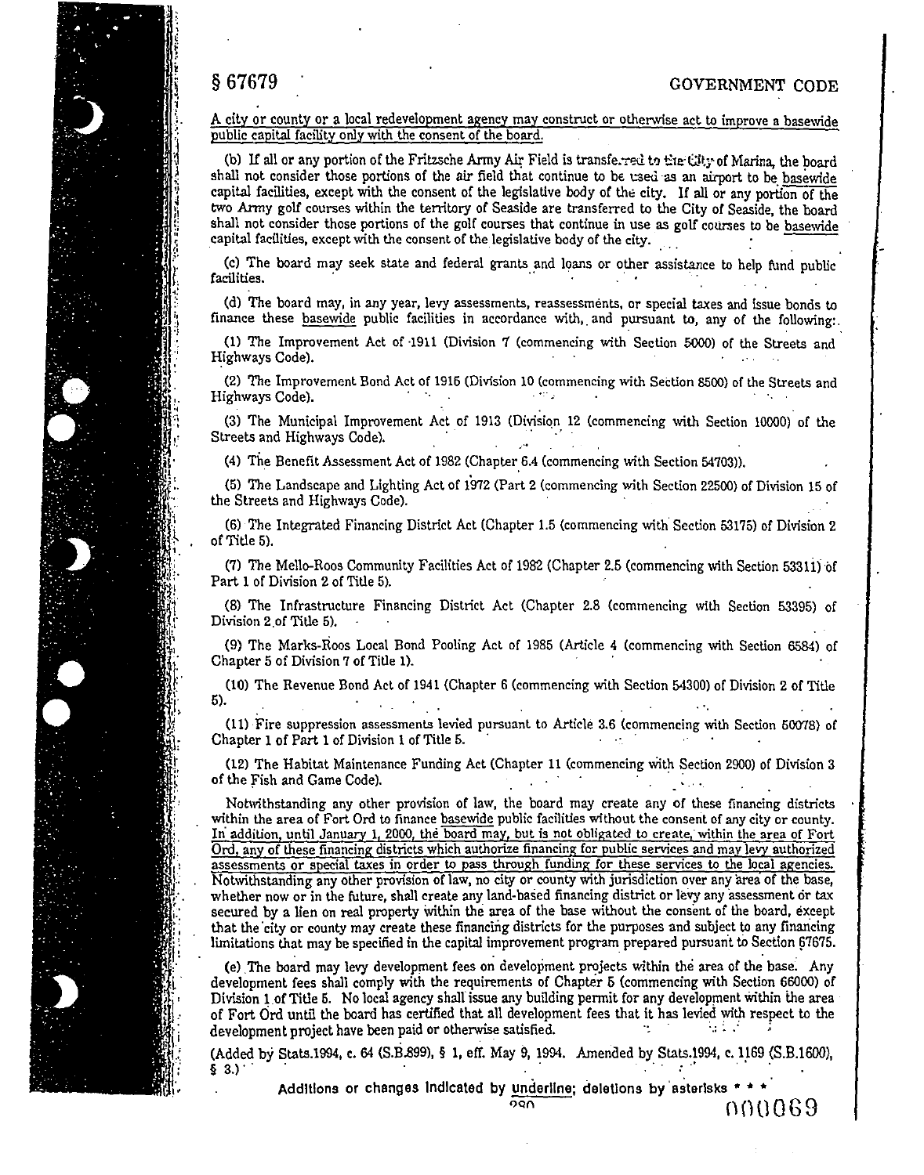## S 67679 GOVERNMENT CODE

A city or county or a local redevelopment agency may construct or otherwise act to improve a basewide public capital facility only with the consent of the board.

(b) If all or any portion of the Fritzsche Army Air Field is transferred to time City of Marina, the board shall not consider those portions of the air field that continue to be used as an airport to be basewide capital facilities, except with the consent of the legislative body of the city. If all or any portion of the two Army golf courses within the territory of Seaside are transferred to the City of Seaside, the board shall not consider those portions of the golf courses that continue in use as golf courses to be basewide capital facilities, except with the consent of the legislative body of the city.

(c) The board may seek state and federal grants and loans or other assistance to help fund public facilities.  $\sim 10^{11}$  km  $^{-1}$ 

(d) The board may, in any year, levy assessments, reassessments, or special taxes and issue bonds to finance these basewide public facilities in accordance with, and pursuant to, any of the following:.

(1) The Improvement Act of -1911 (Division 7 (commencing with Section 5000) of the Streets and Highways Code). **Carl Carl** 

(2) The Improvement Bond Act of 1915 (Division 10 (commencing with Section 8500) of the Streets and Highways Code).

(3) The Municipal Improvement Act of 1913 (Division 12 (commencing \vith Section 10000) of the Streets and Highways Code).

(4) The Benefit Assessment Act of 1982 (Chapter 6.4 (commencing with Section 54703)).

(5) The Landscape and Lighting Act of 1972 (Part 2 (commencing with Section 22500) of Division 15 of the Streets and Highways Code).

(6) The Integrated Financing District Act (Chapter 1.5 (commencing with. Section 53175) of Division 2 of Title 5).

(7) The Mello-Roos Communlty Facilities Act of 1982 (Chapter 2.5 (commencing \vith Section 533li) of Part 1 of Division 2 of Title 5).

(8) The Infrastructure Financing District Act (Chapter 2.8 (commencing with Section 53395) of Division 2 of Title 5).

(9) The Marks-Roos Local Bond Pooling Act of 1985 (Article 4 (commencing with Section 6584) of Chapter 5 of Division 7 of Title 1). ·

(10) The Revenue Bond Act of 1941 (Chapter 6 (commencing with Section 54300) of Division 2 of Title 5).

(11) ·Fire suppression assessments levied pursuant to Article 3.6 (commencing with Section 50078) of Chapter 1 of Part 1 of Division 1 of Title 5.  $\sim 10^{12}$ 

(12) The Habitat Maintenance Funding Act (Chapter 11 (commencing With Section 2900) of Division 3 of the Fish and Game Code). The first state of the fish and Game Code).

Notwithstanding any other provision of law, the board may create any of these financing districts within the area of Fort Ord to finance basewide public facilities without the consent of any city or county. In addition, until January 1, 2000, the board may, but is not obligated to create, within the area of Fort Ord, any of these financing districts which authorize financing for public services and may lery authorized assessments or special taxes in order to pass through funding for these services to the local agencies. Notwithstanding any other provision of law, no city or county with jurisdiction over any area of the base, whether now or in the future, shall create any land-based financing district or levy any assessment or tax secured by a lien on real property within the area of the base without the consent of the board, except that the city or county may create these financing districts for the purposes and subject to any financing limitations that may be specified in the capital improvement program prepared pursuant to Section 67675.

(e) The board may levy development fees on development projects within the area of the base. Any development fees shall comply with the requirements of Chapter 6 (commencing with Section 66000) of Division 1 of Title 5. No local agency shall issue any building permit for any development within the area of Fort Ord until the board has certified that all development fees that it has levied with respect to the development project have been paid or otherwise satisfied.

(Added by Stats.1994, c. 64 (S.B.899), § 1, err. May 9, 1994. Amended by Stats.1994, c. 1\_169 (S.B.l600),  $\frac{1}{2}$  3.)<sup>2</sup> .  $\frac{1}{2}$  .  $\frac{1}{2}$  . The set of  $\frac{1}{2}$  . The set of  $\frac{1}{2}$  is the set of  $\frac{1}{2}$  . The set of  $\frac{1}{2}$  is the set of  $\frac{1}{2}$  .

Additions or changes indicated by <u>underline</u>; deletions by asterisks \* \* \*<br>(1)(1)  $0.69$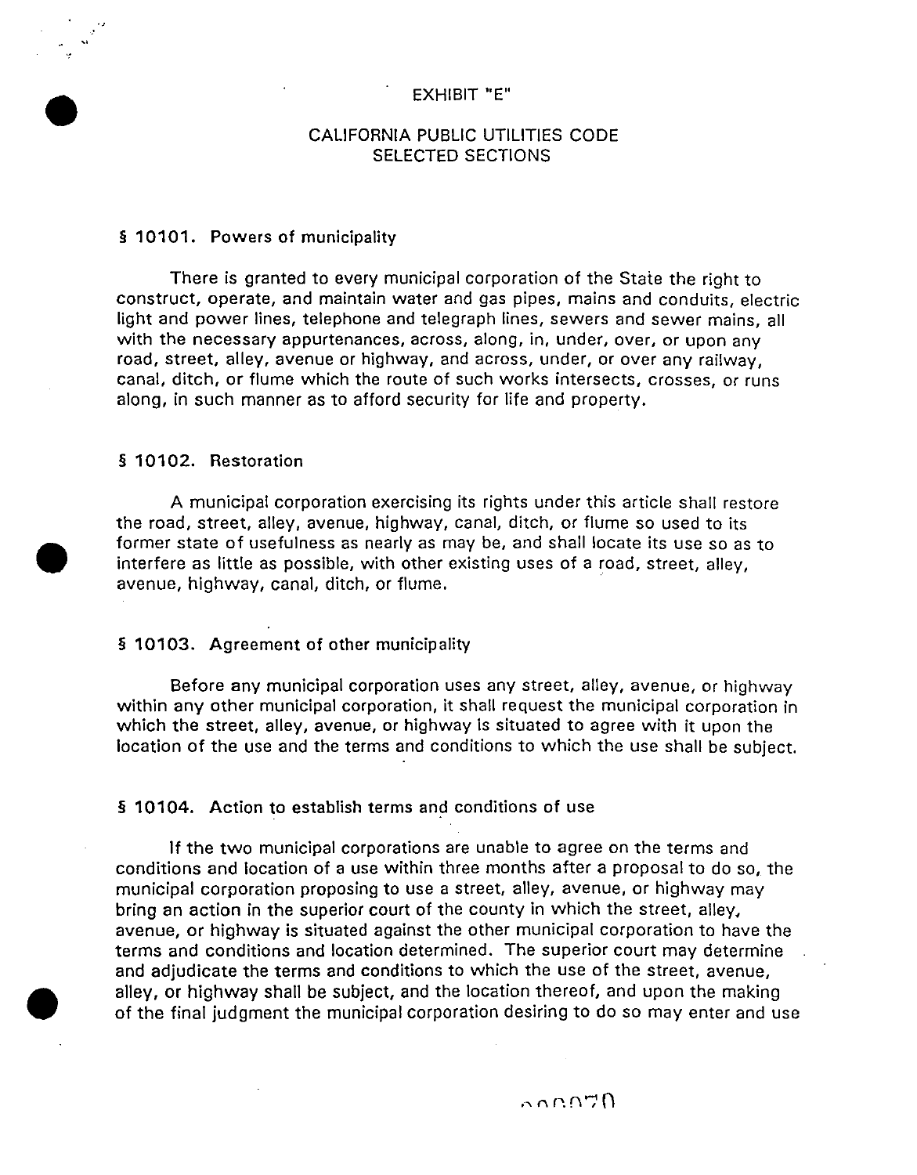### EXHIBIT "E"

### CALIFORNIA PUBLIC UTILITIES CODE SELECTED SECTIONS

### § 10101. Powers of municipality

There is granted to every municipal corporation of the State the right to construct, operate, and maintain water and gas pipes, mains and conduits, electric light and power lines, telephone and telegraph lines, sewers and sewer mains, all with the necessary appurtenances, across, along, in, under, over, or upon any road, street, alley, avenue or highway, and across, under, or over any railway, canal, ditch, or flume which the route of such works intersects, crosses, or runs along, in such manner as to afford security for life and property.

### § 10102. Restoration

•

•

 $\bullet$ 

A municipal corporation exercising its rights under this article shall restore the road, street, alley, avenue, highway, canal, ditch, or flume so used to its former state of usefulness as nearly as may be, and shall locate its use so as to interfere as little as possible, with other existing uses of a road, street, alley, avenue, highway, canal, ditch, or flume.

### § 10103. Agreement of other municipality

Before any municipal corporation uses any street, alley, avenue, or highway within any other municipal corporation, it shall request the municipal corporation in which the street, alley, avenue, or highway is situated to agree with it upon the location of the use and the terms and conditions to which the use shall be subject.

### § 10104. Action to establish terms and conditions of use

If the two municipal corporations are unable to agree on the terms and conditions and location of a use within three months after a proposal to do so, the municipal corporation proposing to use a street, alley, avenue, or highway may bring an action in the superior court of the county in which the street, alley, avenue, or highway is situated against the other municipal corporation to have the terms and conditions and location determined. The superior court may determine and adjudicate the terms and conditions to which the use of the street, avenue, alley, or highway shall be subject, and the location thereof, and upon the making of the final judgment the municipal corporation desiring to do so may enter and use